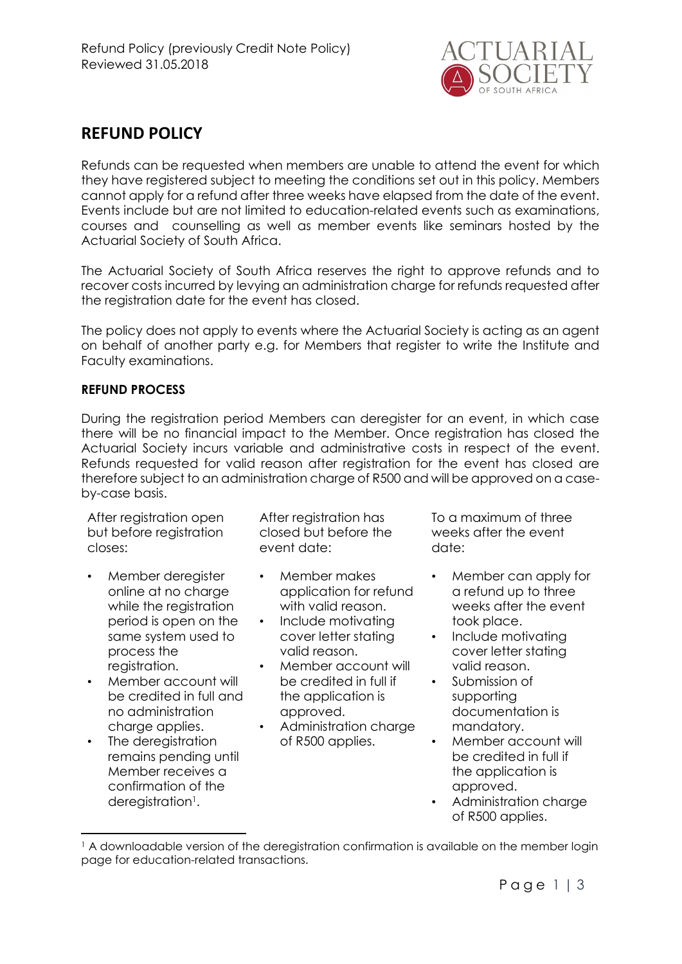

# REFUND POLICY

Refunds can be requested when members are unable to attend the event for which they have registered subject to meeting the conditions set out in this policy. Members cannot apply for a refund after three weeks have elapsed from the date of the event. Events include but are not limited to education-related events such as examinations, courses and counselling as well as member events like seminars hosted by the Actuarial Society of South Africa.

The Actuarial Society of South Africa reserves the right to approve refunds and to recover costs incurred by levying an administration charge for refunds requested after the registration date for the event has closed.

The policy does not apply to events where the Actuarial Society is acting as an agent on behalf of another party e.g. for Members that register to write the Institute and Faculty examinations.

#### REFUND PROCESS

During the registration period Members can deregister for an event, in which case there will be no financial impact to the Member. Once registration has closed the Actuarial Society incurs variable and administrative costs in respect of the event. Refunds requested for valid reason after registration for the event has closed are therefore subject to an administration charge of R500 and will be approved on a caseby-case basis.

After registration open but before registration closes:

- Member deregister online at no charge while the registration period is open on the same system used to process the registration.
- Member account will be credited in full and no administration charge applies.
- The deregistration remains pending until Member receives a confirmation of the deregistration<sup>1</sup>.

-

After registration has closed but before the event date:

- Member makes application for refund with valid reason.
- Include motivating cover letter stating valid reason.
- Member account will be credited in full if the application is approved.
- Administration charge of R500 applies.

To a maximum of three weeks after the event date:

- Member can apply for a refund up to three weeks after the event took place.
- Include motivating cover letter stating valid reason.
- Submission of supporting documentation is mandatory.
- Member account will be credited in full if the application is approved.
- Administration charge of R500 applies.

<sup>&</sup>lt;sup>1</sup> A downloadable version of the deregistration confirmation is available on the member login page for education-related transactions.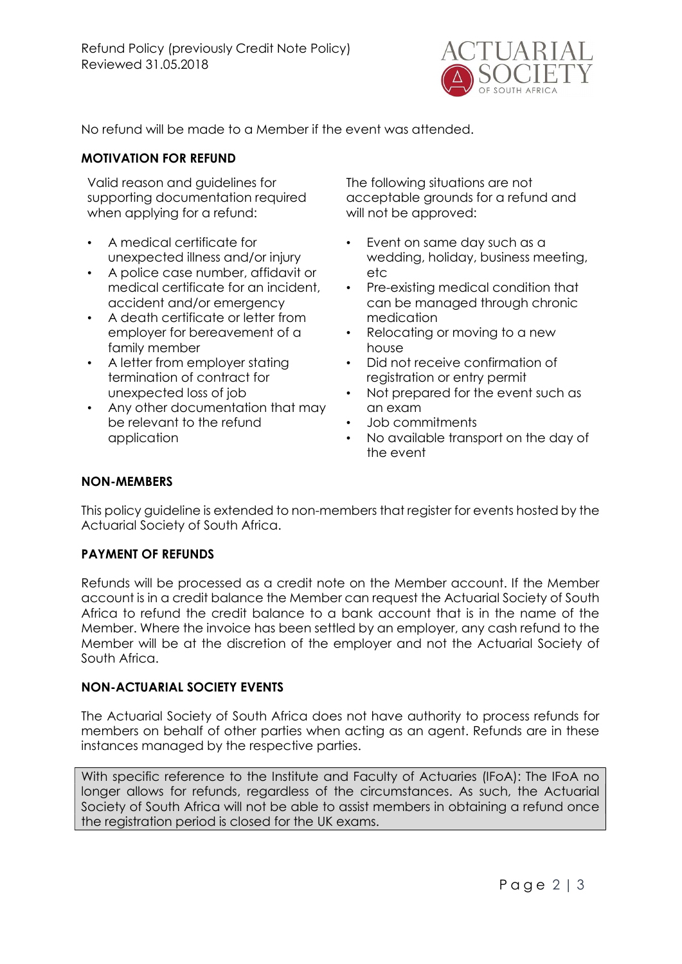

No refund will be made to a Member if the event was attended.

## MOTIVATION FOR REFUND

Valid reason and guidelines for supporting documentation required when applying for a refund:

- A medical certificate for unexpected illness and/or injury
- A police case number, affidavit or medical certificate for an incident, accident and/or emergency
- A death certificate or letter from employer for bereavement of a family member
- A letter from employer stating termination of contract for unexpected loss of job
- Any other documentation that may be relevant to the refund application

The following situations are not acceptable grounds for a refund and will not be approved:

- Event on same day such as a wedding, holiday, business meeting, etc
- Pre-existing medical condition that can be managed through chronic medication
- Relocating or moving to a new house
- Did not receive confirmation of registration or entry permit
- Not prepared for the event such as an exam
- Job commitments
- No available transport on the day of the event

### NON-MEMBERS

This policy guideline is extended to non-members that register for events hosted by the Actuarial Society of South Africa.

#### PAYMENT OF REFUNDS

Refunds will be processed as a credit note on the Member account. If the Member account is in a credit balance the Member can request the Actuarial Society of South Africa to refund the credit balance to a bank account that is in the name of the Member. Where the invoice has been settled by an employer, any cash refund to the Member will be at the discretion of the employer and not the Actuarial Society of South Africa.

#### NON-ACTUARIAL SOCIETY EVENTS

The Actuarial Society of South Africa does not have authority to process refunds for members on behalf of other parties when acting as an agent. Refunds are in these instances managed by the respective parties.

With specific reference to the Institute and Faculty of Actuaries (IFoA): The IFoA no longer allows for refunds, regardless of the circumstances. As such, the Actuarial Society of South Africa will not be able to assist members in obtaining a refund once the registration period is closed for the UK exams.